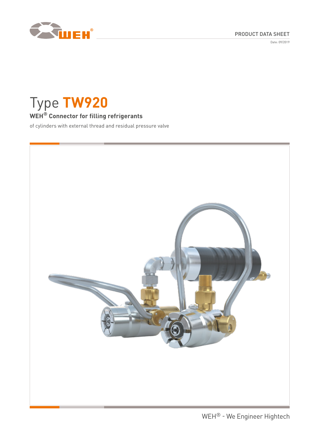

Date: 09/2019



# Type **TW920**

# **WEH® Connector for filling refrigerants**

of cylinders with external thread and residual pressure valve

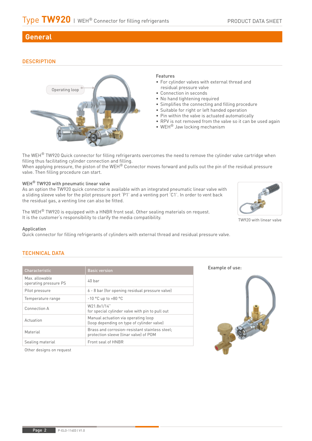# **General**

### **DESCRIPTION**



### Features

- For cylinder valves with external thread and residual pressure valve
- Connection in seconds
- No hand tightening required
- Simplifies the connecting and filling procedure
- Suitable for right or left handed operation
- Pin within the valve is actuated automatically
- RPV is not removed from the valve so it can be used again
- WEH® Jaw locking mechanism

The WEH<sup>®</sup> TW920 Quick connector for filling refrigerants overcomes the need to remove the cylinder valve cartridge when filling thus facilitating cylinder connection and filling.

When applying pressure, the piston of the WEH® Connector moves forward and pulls out the pin of the residual pressure valve. Then filling procedure can start.

### WEH<sup>®</sup> TW920 with pneumatic linear valve

As an option the TW920 quick connector is available with an integrated pneumatic linear valve with a sliding sleeve valve for the pilot pressure port ʻP1' and a venting port ʻC1'. In order to vent back the residual gas, a venting line can also be fitted.

The WEH<sup>®</sup> TW920 is equipped with a HNBR front seal. Other sealing materials on request. It is the customer's responsibility to clarify the media compatibility.

### Application

Quick connector for filling refrigerants of cylinders with external thread and residual pressure valve.

### TECHNICAL DATA

| Characteristic                          | <b>Basic version</b>                                                                     |
|-----------------------------------------|------------------------------------------------------------------------------------------|
| Max. allowable<br>operating pressure PS | $40$ har                                                                                 |
| Pilot pressure                          | 6 - 8 bar (for opening residual pressure valve)                                          |
| Temperature range                       | $-10$ °C up to $+80$ °C                                                                  |
| Connection A                            | W21.8x1/14"<br>for special cylinder valve with pin to pull out                           |
| Actuation                               | Manual actuation via operating loop<br>(loop depending on type of cylinder valve)        |
| Material                                | Brass and corrosion-resistant stainless steel;<br>protection sleeve (linar valve) of POM |
| Sealing material                        | Front seal of HNBR                                                                       |

Example of use:



Other designs on request



TW920 with linear valve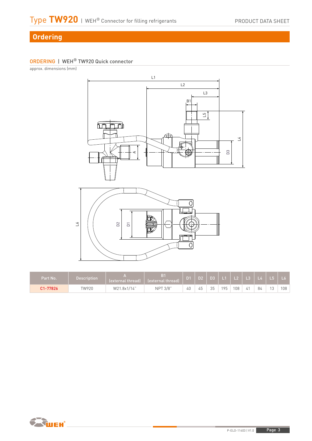# **Ordering**

# ORDERING | WEH® TW920 Quick connector

approx. dimensions (mm)



| Part No. | Description | lexternal thread] | B <sub>1</sub><br>lexternal threadl | $\sim$ | D <sub>2</sub> | D <sub>3</sub> | $\Box$ | $\overline{\phantom{a}}$ $\overline{\phantom{a}}$ $\overline{\phantom{a}}$ | :   L3 | $L$ 4 |             | L6  |
|----------|-------------|-------------------|-------------------------------------|--------|----------------|----------------|--------|----------------------------------------------------------------------------|--------|-------|-------------|-----|
| C1-77826 | TW920       | W21.8x1/14"       | NPT 3/8"                            | 40     | $-$<br>45      | 35             | 195    | 108                                                                        | 4      | 84    | $1^{\circ}$ | 108 |

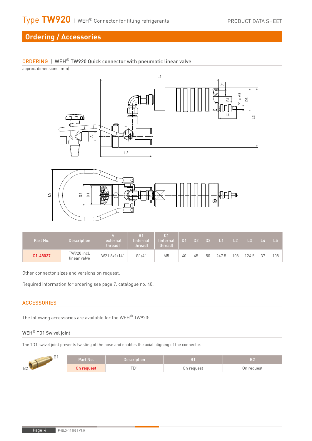# **Ordering / Accessories**

# ORDERING | WEH® TW920 Quick connector with pneumatic linear valve

approx. dimensions (mm)





| Part No. | <b>Description</b>          | A<br><i><u><b>lexternal</b></u></i><br>lthread) | B <sub>1</sub><br>linternal<br>threadl | C <sub>1</sub><br>(internal)<br>threadl | D <sub>1</sub> | D <sub>2</sub> | D <sub>3</sub> |       | L2  | L3    |    |     |
|----------|-----------------------------|-------------------------------------------------|----------------------------------------|-----------------------------------------|----------------|----------------|----------------|-------|-----|-------|----|-----|
| C1-48037 | TW920 incl.<br>linear valve | W21.8x1/14"                                     | G1/4"                                  | M <sub>5</sub>                          | 40             | 45             | 50             | 247.5 | 108 | 124.5 | 27 | 108 |

Other connector sizes and versions on request.

Required information for ordering see page 7, catalogue no. 40.

### **ACCESSORIES**

The following accessories are available for the WEH® TW920:

### WEH® TD1 Swivel joint

The TD1 swivel joint prevents twisting of the hose and enables the axial aligning of the connector.

|                     | lPart No. 1 | Description |            | B2         |  |  |
|---------------------|-------------|-------------|------------|------------|--|--|
| R <sub>2</sub><br>◡ | On request  | LD.         | On request | On request |  |  |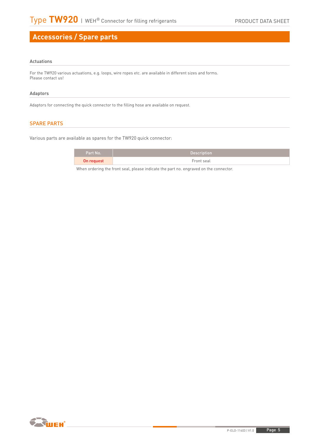# **Accessories / Spare parts**

### Actuations

For the TW920 various actuations, e.g. loops, wire ropes etc. are available in different sizes and forms. Please contact us!

### Adaptors

Adaptors for connecting the quick connector to the filling hose are available on request.

### SPARE PARTS

Various parts are available as spares for the TW920 quick connector:

| Part No.   | <b>Description</b> |
|------------|--------------------|
| On request | Front seal         |

When ordering the front seal, please indicate the part no. engraved on the connector.